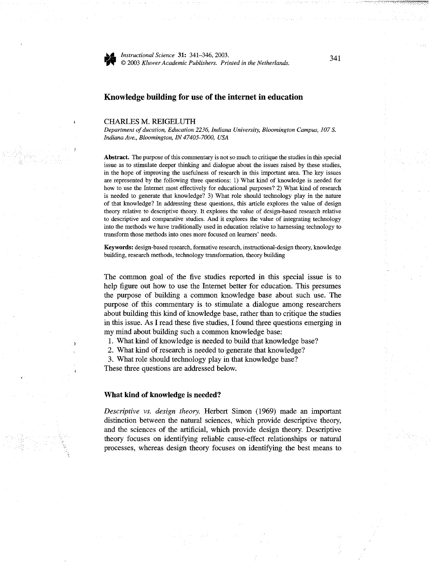

**U** *Instructional Science* **31:** 341-346, 2003.  $\odot$  2003 *Kluwer Academic Publishers. Printed in the Netherlands.* 

## **Knowledge building for use of the internet in education**

### CHARLES M. REIGELUTH

*Department of ducation, Education 2236, Indiana University, Bloomington Campus, 107* S. *Indiana Ave., Bloomington, IN 47405-7000, USA* 

**Abstract.** The purpose of this commentary is not so much to critique the studies in this special issue as to stimulate deeper thinking and dialogue about the issues raised by these studies, in the hope of improving the usefulness of research in this important area. The key issues are represented by the following three questions: 1) What kind of knowledge is needed for how to use the Internet most effectively for educational purposes? 2) What kind of research is needed to generate that knowledge? 3) What role should technology play in the nature of that knowledge? In addressing these questions, this article explores the value of design theory relative to descriptive theory. It explores the value of design-based research relative to descriptive and comparative studies. And it explores the value of integrating technology into the methods we have traditionally used in education relative to harnessing technology to transform those methods into ones more focused on learners' needs.

**Keywords:** design-based research, formative research, instructional-design theory, knowledge building, research methods, technology transformation, theory building

The common goal of the five studies reported **in** this special issue is to help figure out how to use the Internet better for education. This presumes the purpose of building a common knowledge base about such use. The purpose of this commentary is to stimulate a dialogue among researchers about building this kind of knowledge base, rather than to critique the studies in this issue. As I read these five studies, I found three questions emerging in my mind about building such a common knowledge base:

1. What kind of knowledge is needed to build that knowledge base?

2. What kind of research is needed to generate that knowledge?

3. What role should technology play in that knowledge base?

These three questions are addressed below.

#### **What kind of knowledge is needed?**

*Descriptive vs. design theory.* Herbert Simon (1969) made an important distinction between the natural sciences, which provide descriptive theory, and the sciences of the artificial, which provide design theory. Descriptive theory focuses on identifying reliable cause-effect relationships or natural processes, whereas design theory focuses on identifying the best means to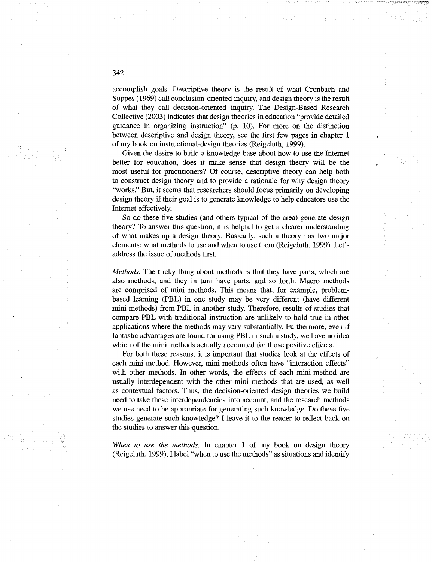accomplish goals. Descriptive theory is the result of what Cronbach and Suppes (1969) call conclusion-oriented inquiry, and design theory is the result of what they call decision-oriented inquiry. The Design-Based Research Collective (2003) indicates that design theories in education "provide detailed guidance in organizing instruction" (p. 10). For more on the distinction between descriptive and design theory, see the first few pages in chapter 1 of my book on instructional-design theories (Reigeluth, 1999).

Given the desire to build a know ledge base about how to use the Internet better for education, does it make sense that design theory will be the most useful for practitioners? Of course, descriptive theory can help both to construct design theory and to provide a rationale for why design theory "works." But, it seems that researchers should focus primarily on developing design theory if their goal is to generate knowledge to help educators use the Internet effectively.

So do these five studies (and others typical of the area) generate design theory? To answer this question, it is helpful to get a clearer understanding of what makes up a design theory. Basically, such a theory has two major elements: what methods to use and when to use them (Reigeluth, 1999). Let's address the issue of methods first.

*Methods.* The tricky thing about methods is that they have parts, which are also methods, and they in turn have parts, and so forth. Macro methods are comprised of mini methods. This means that, for example, problembased learning (PBL) in one study may be very different (have different mini methods) from PBL in another study. Therefore, results of studies that compare PBL with traditional instruction are unlikely to hold true in other applications where the methods may vary substantially. Furthermore, even if fantastic advantages are found for using PBL in such a study, we have no idea which of the mini methods actually accounted for those positive effects.

For both these reasons, it is important that studies look at the effects of each mini method. However, mini methods often have "interaction effects" with other methods. In other words, the effects of each mini-method are usually interdependent with the other mini methods that are used, as well as contextual factors. Thus, the decision-oriented design theories we build need to take these interdependencies into account, and the research methods we use need to be appropriate for generating such knowledge. Do these five studies generate such knowledge? I leave it to the reader to reflect back on the studies to answer this question.

*When to use the methods.* In chapter 1 of my book on design theory (Reigeluth, 1999), I label "when to use the methods" as situations and identify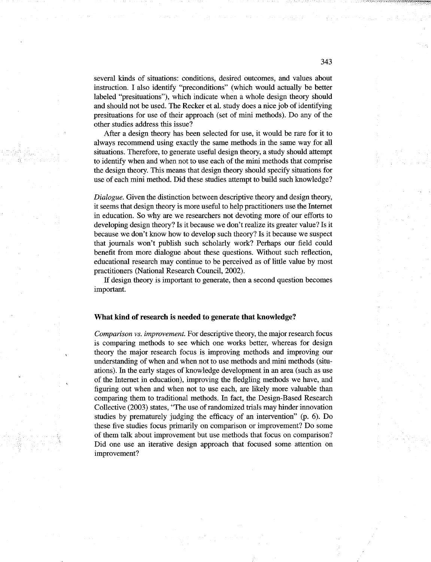several kinds of situations: conditions, desired outcomes, and values about instruction. I also identify "preconditions" (which would actually be better labeled "presituations"), which indicate when a whole design theory should and should not be used. The Recker et al. study does a nice job of identifying presituations for use of their approach (set of mini methods). Do any of the other studies address this issue?

After a design theory has been selected for use, it would be rare for it to always recommend using exactly the same methods in the same way for all situations. Therefore, to generate useful design theory, a study should attempt to identify when and when not to use each of the mini methods that comprise the design theory. This means that design theory should specify situations for use of each mini method. Did these studies attempt to build such knowledge?

*Dialogue.* Given the distinction between descriptive theory and design theory, it seems that design theory is more useful to help practitioners use the Internet in education. So why are we researchers not devoting more of our efforts to developing design theory? Is it because we don't realize its greater value? Is it because we don't know how to develop such theory? Is it because we suspect that journals won't publish such scholarly work? Perhaps our field could benefit from more dialogue about these questions. Without such reflection, educational research may continue to be perceived as of little value by most practitioners (National Research Council, 2002).

If design theory is important to generate, then a second question becomes important.

#### **What kind of research is needed to generate that knowledge?**

*Comparison vs. improvement.* For descriptive theory, the major research focus is comparing methods to see which one works better, whereas for design theory the major research focus is improving methods and improving our understanding of when and when not to use methods and mini methods (situations). In the early stages of knowledge development in an area (such as use of the Internet in education), improving the fledgling methods we have, and figuring out when and when not to use each, are likely more valuable than comparing them to traditional methods. In fact, the Design-Based Research Collective (2003) states, "The use of randomized trials may hinder innovation studies by prematurely judging the efficacy of an intervention" (p. 6). Do these five studies focus primarily on comparison or improvement? Do some of them talk about improvement but use methods that focus on comparison? Did one use an iterative design approach that focused some attention on improvement?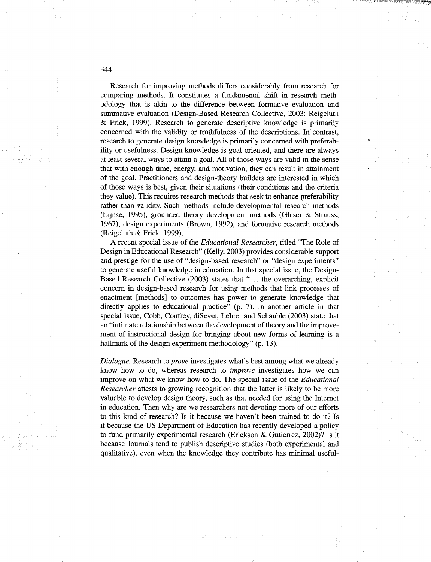Research for improving methods differs considerably from research for comparing methods. It constitutes a fundamental shift in research methodology that is akin to the difference between formative evaluation and summative evaluation (Design-Based Research Collective, 2003; Reigeluth & Frick, 1999). Research to generate descriptive knowledge is primarily concerned with the validity or truthfulness of the descriptions. In contrast, research to generate design knowledge is primarily concerned with preferability or usefulness. Design knowledge is goal-oriented, and there are always at least several ways to attain a goal. All of those ways are valid in the sense that with enough time, energy, and motivation, they can result in attainment of the goal. Practitioners and design-theory builders are interested in which of those ways is best, given their situations (their conditions and the criteria they value). This requires research methods that seek to enhance preferability rather than validity. Such methods include developmental research methods (Lijnse, 1995), grounded theory development methods (Glaser & Strauss, 1967), design experiments (Brown, 1992), and formative research methods (Reigeluth & Frick, 1999).

A recent special issue of the *Educational Researcher,* titled "The Role of Design in Educational Research" (Kelly, 2003) provides considerable support and prestige for the use of "design-based research" or "design experiments" to generate useful knowledge in education. In that special issue, the Design-Based Research Collective (2003) states that "... the overarching, explicit concern in design-based research for using methods that link processes of enactment [methods] to outcomes has power to generate knowledge that directly applies to educational practice" (p. 7). In another article in that special issue, Cobb, Confrey, diSessa, Lehrer and Schauble (2003) state that an "intimate relationship between the development of theory and the improvement of instructional design for bringing about new forms of learning is a hallmark of the design experiment methodology" (p. 13).

*Dialogue.* Research to *prove* investigates what's best among what we already know how to do, whereas research to *improve* investigates how we can improve on what we know how to do. The special issue of the *Educational Researcher* attests to growing recognition that the latter is likely to be more valuable to develop design theory, such as that needed for using the Internet in education. Then why are we researchers not devoting more of our efforts to this kind of research? Is it because we haven't been trained to do it? Is it because the US Department of Education has recently developed a policy to fund primarily experimental research (Erickson & Gutierrez, 2002)? Is it because Journals tend to publish descriptive studies (both experimental and qualitative), even when the knowledge they contribute has minimal useful-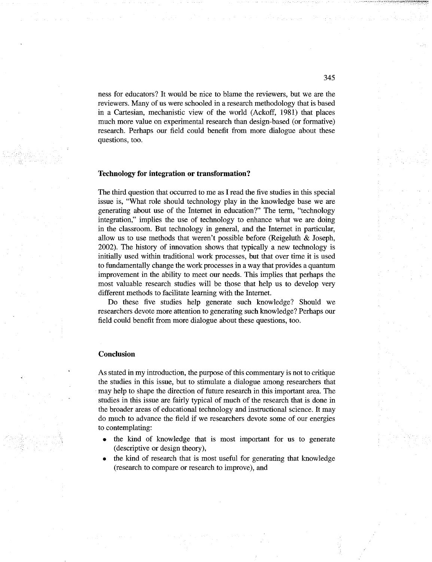ness for educators? It would be nice to blame the reviewers, but we are the reviewers. Many of us were schooled in a research methodology that is based in a Cartesian, mechanistic view of the world (Ackoff, 1981) that places much more value on experimental research than design-based (or formative) research. Perhaps our field could benefit from more dialogue about these questions, too.

# **Technology for integration or transformation?**

The third question that occurred to me as I read the five studies in this special issue is, "What role should technology play in the knowledge base we are generating about use of the Internet in education?" The term, "technology integration," implies the use of technology to enhance what we are doing in the classroom. But technology in general, and the Internet in particular, allow us to use methods that weren't possible before (Reigeluth & Joseph, 2002). The history of innovation shows that typically a new technology is initially used within traditional work processes, but that over time it is used to fundamentally change the work processes in a way that provides a quantum improvement in the ability to meet our needs. This implies that perhaps the most valuable research studies will be those that help us to develop very different methods to facilitate learning with the Internet.

Do these five studies help generate such knowledge? Should we researchers devote more attention to generating such knowledge? Perhaps our field could benefit from more dialogue about these questions, too.

#### **Conclusion**

As stated in my introduction, the purpose of this commentary is not to critique the studies in this issue, but to stimulate a dialogue among researchers that may help to shape the direction of future research in this important area. The studies in this issue are fairly typical of much of the research that is done in the broader areas of educational technology and instructional science. It may do much to advance the field if we researchers devote some of our energies to contemplating:

- the kind of knowledge that is most important for us to generate (descriptive or design theory),
- the kind of research that is most useful for generating that knowledge (research to compare or research to improve), and